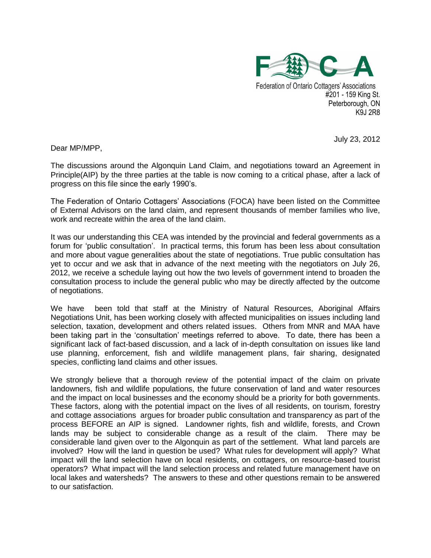

**Federation of Ontario Cottagers' Associations** #201 - 159 King St. Peterborough, ON K9J 2R8

July 23, 2012

Dear MP/MPP,

The discussions around the Algonquin Land Claim, and negotiations toward an Agreement in Principle(AIP) by the three parties at the table is now coming to a critical phase, after a lack of progress on this file since the early 1990's.

The Federation of Ontario Cottagers' Associations (FOCA) have been listed on the Committee of External Advisors on the land claim, and represent thousands of member families who live, work and recreate within the area of the land claim.

It was our understanding this CEA was intended by the provincial and federal governments as a forum for 'public consultation'. In practical terms, this forum has been less about consultation and more about vague generalities about the state of negotiations. True public consultation has yet to occur and we ask that in advance of the next meeting with the negotiators on July 26, 2012, we receive a schedule laying out how the two levels of government intend to broaden the consultation process to include the general public who may be directly affected by the outcome of negotiations.

We have been told that staff at the Ministry of Natural Resources, Aboriginal Affairs Negotiations Unit, has been working closely with affected municipalities on issues including land selection, taxation, development and others related issues. Others from MNR and MAA have been taking part in the 'consultation' meetings referred to above. To date, there has been a significant lack of fact-based discussion, and a lack of in-depth consultation on issues like land use planning, enforcement, fish and wildlife management plans, fair sharing, designated species, conflicting land claims and other issues.

We strongly believe that a thorough review of the potential impact of the claim on private landowners, fish and wildlife populations, the future conservation of land and water resources and the impact on local businesses and the economy should be a priority for both governments. These factors, along with the potential impact on the lives of all residents, on tourism, forestry and cottage associations argues for broader public consultation and transparency as part of the process BEFORE an AIP is signed. Landowner rights, fish and wildlife, forests, and Crown lands may be subject to considerable change as a result of the claim. There may be considerable land given over to the Algonquin as part of the settlement. What land parcels are involved? How will the land in question be used? What rules for development will apply? What impact will the land selection have on local residents, on cottagers, on resource-based tourist operators? What impact will the land selection process and related future management have on local lakes and watersheds? The answers to these and other questions remain to be answered to our satisfaction.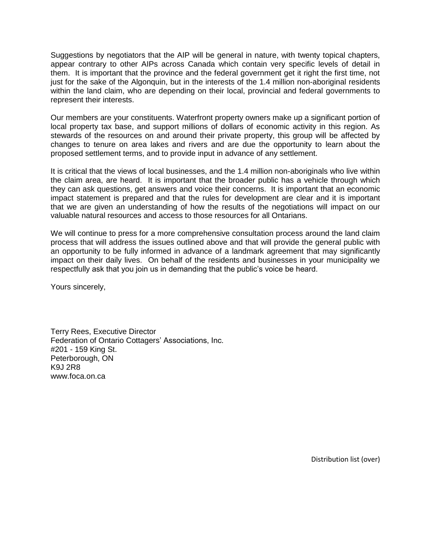Suggestions by negotiators that the AIP will be general in nature, with twenty topical chapters, appear contrary to other AIPs across Canada which contain very specific levels of detail in them. It is important that the province and the federal government get it right the first time, not just for the sake of the Algonquin, but in the interests of the 1.4 million non-aboriginal residents within the land claim, who are depending on their local, provincial and federal governments to represent their interests.

Our members are your constituents. Waterfront property owners make up a significant portion of local property tax base, and support millions of dollars of economic activity in this region. As stewards of the resources on and around their private property, this group will be affected by changes to tenure on area lakes and rivers and are due the opportunity to learn about the proposed settlement terms, and to provide input in advance of any settlement.

It is critical that the views of local businesses, and the 1.4 million non-aboriginals who live within the claim area, are heard. It is important that the broader public has a vehicle through which they can ask questions, get answers and voice their concerns. It is important that an economic impact statement is prepared and that the rules for development are clear and it is important that we are given an understanding of how the results of the negotiations will impact on our valuable natural resources and access to those resources for all Ontarians.

We will continue to press for a more comprehensive consultation process around the land claim process that will address the issues outlined above and that will provide the general public with an opportunity to be fully informed in advance of a landmark agreement that may significantly impact on their daily lives. On behalf of the residents and businesses in your municipality we respectfully ask that you join us in demanding that the public's voice be heard.

Yours sincerely,

Terry Rees, Executive Director Federation of Ontario Cottagers' Associations, Inc. #201 - 159 King St. Peterborough, ON K9J 2R8 www.foca.on.ca

Distribution list (over)